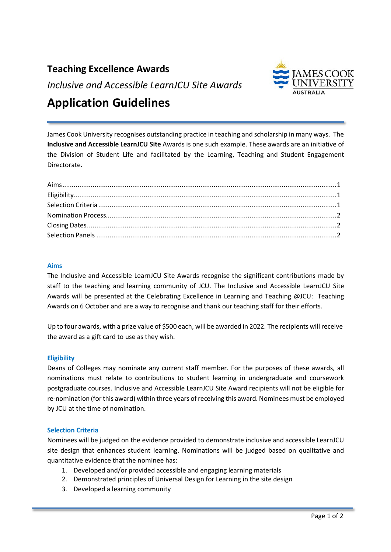# **Teaching Excellence Awards**

*Inclusive and Accessible LearnJCU Site Awards*



# **Application Guidelines**

James Cook University recognises outstanding practice in teaching and scholarship in many ways. The **Inclusive and Accessible LearnJCU Site** Awards is one such example. These awards are an initiative of the Division of Student Life and facilitated by the Learning, Teaching and Student Engagement Directorate.

## <span id="page-0-0"></span>**Aims**

The Inclusive and Accessible LearnJCU Site Awards recognise the significant contributions made by staff to the teaching and learning community of JCU. The Inclusive and Accessible LearnJCU Site Awards will be presented at the Celebrating Excellence in Learning and Teaching @JCU: Teaching Awards on 6 October and are a way to recognise and thank our teaching staff for their efforts.

Up to four awards, with a prize value of \$500 each, will be awarded in 2022. The recipients will receive the award as a gift card to use as they wish.

## <span id="page-0-1"></span>**Eligibility**

Deans of Colleges may nominate any current staff member. For the purposes of these awards, all nominations must relate to contributions to student learning in undergraduate and coursework postgraduate courses. Inclusive and Accessible LearnJCU Site Award recipients will not be eligible for re-nomination (for this award) within three years of receiving this award. Nominees must be employed by JCU at the time of nomination.

#### **Selection Criteria**

Nominees will be judged on the evidence provided to demonstrate inclusive and accessible LearnJCU site design that enhances student learning. Nominations will be judged based on qualitative and quantitative evidence that the nominee has:

- 1. Developed and/or provided accessible and engaging learning materials
- 2. Demonstrated principles of Universal Design for Learning in the site design
- 3. Developed a learning community